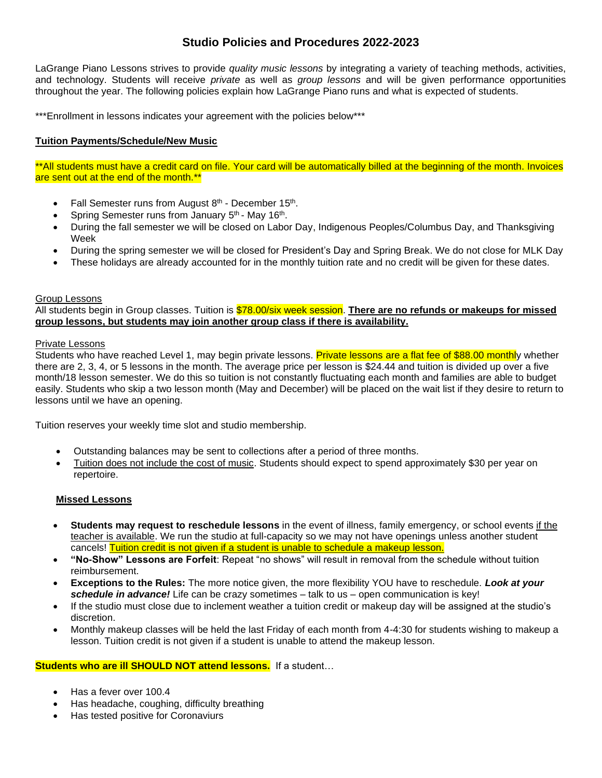# **Studio Policies and Procedures 2022-2023**

LaGrange Piano Lessons strives to provide *quality music lessons* by integrating a variety of teaching methods, activities, and technology. Students will receive *private* as well as *group lessons* and will be given performance opportunities throughout the year. The following policies explain how LaGrange Piano runs and what is expected of students.

\*\*\*Enrollment in lessons indicates your agreement with the policies below\*\*\*

## **Tuition Payments/Schedule/New Music**

\*\*All students must have a credit card on file. Your card will be automatically billed at the beginning of the month. Invoices are sent out at the end of the month.\*\*

- Fall Semester runs from August 8<sup>th</sup> December 15<sup>th</sup>.
- Spring Semester runs from January 5<sup>th</sup> May 16<sup>th</sup>.
- During the fall semester we will be closed on Labor Day, Indigenous Peoples/Columbus Day, and Thanksgiving Week
- During the spring semester we will be closed for President's Day and Spring Break. We do not close for MLK Day
- These holidays are already accounted for in the monthly tuition rate and no credit will be given for these dates.

## Group Lessons

All students begin in Group classes. Tuition is \$78.00/six week session. **There are no refunds or makeups for missed group lessons, but students may join another group class if there is availability.**

## Private Lessons

Students who have reached Level 1, may begin private lessons. Private lessons are a flat fee of \$88.00 monthly whether there are 2, 3, 4, or 5 lessons in the month. The average price per lesson is \$24.44 and tuition is divided up over a five month/18 lesson semester. We do this so tuition is not constantly fluctuating each month and families are able to budget easily. Students who skip a two lesson month (May and December) will be placed on the wait list if they desire to return to lessons until we have an opening.

Tuition reserves your weekly time slot and studio membership.

- Outstanding balances may be sent to collections after a period of three months.
- Tuition does not include the cost of music. Students should expect to spend approximately \$30 per year on repertoire.

## **Missed Lessons**

- **Students may request to reschedule lessons** in the event of illness, family emergency, or school events if the teacher is available. We run the studio at full-capacity so we may not have openings unless another student cancels! Tuition credit is not given if a student is unable to schedule a makeup lesson.
- **"No-Show" Lessons are Forfeit**: Repeat "no shows" will result in removal from the schedule without tuition reimbursement.
- **Exceptions to the Rules:** The more notice given, the more flexibility YOU have to reschedule. *Look at your schedule in advance!* Life can be crazy sometimes – talk to us – open communication is key!
- If the studio must close due to inclement weather a tuition credit or makeup day will be assigned at the studio's discretion.
- Monthly makeup classes will be held the last Friday of each month from 4-4:30 for students wishing to makeup a lesson. Tuition credit is not given if a student is unable to attend the makeup lesson.

## **Students who are ill SHOULD NOT attend lessons.** If a student…

- Has a fever over 100.4
- Has headache, coughing, difficulty breathing
- Has tested positive for Coronaviurs